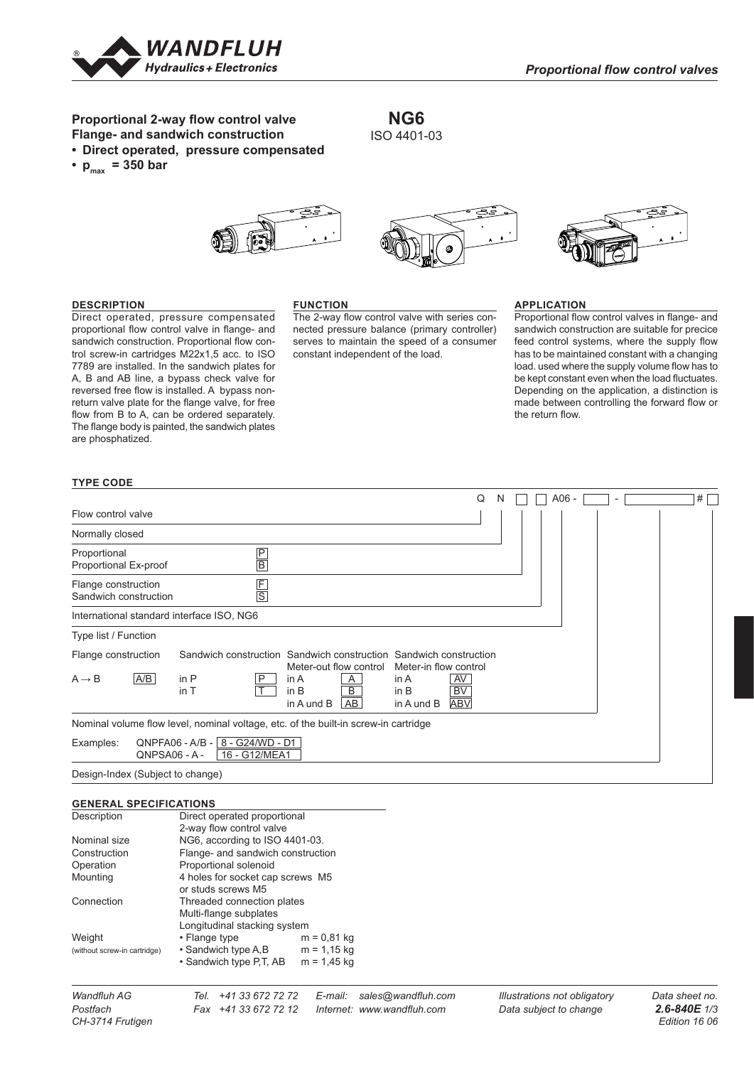

# **Proportional 2-way flow control valve Flange- and sandwich construction**

- **• Direct operated, pressure compensated**
- $p_{max}$  = 350 bar





#### **DESCRIPTION**

Direct operated, pressure compensated proportional flow control valve in flange- and sandwich construction. Proportional flow control screw-in cartridges M22x1,5 acc. to ISO 7789 are installed. In the sandwich plates for A, B and AB line, a bypass check valve for reversed free flow is installed. A bypass nonreturn valve plate for the flange valve, for free flow from B to A, can be ordered separately. The flange body is painted, the sandwich plates are phosphatized.

#### **FUNCTION**

The 2-way flow control valve with series connected pressure balance (primary controller) serves to maintain the speed of a consumer constant independent of the load.

**NG6** ISO 4401-03

### **APPLICATION**

Proportional flow control valves in flange- and sandwich construction are suitable for precice feed control systems, where the supply flow has to be maintained constant with a changing load. used where the supply volume flow has to be kept constant even when the load fluctuates. Depending on the application, a distinction is made between controlling the forward flow or the return flow. Rev. Änderungsnr. **Serie freigegeben**

### **TYPE CODE**

|                                                                                     |                                                      |               |                            |                        |                                                                                            |                               | Q | N |  | $A06 -$ |  | # |  |
|-------------------------------------------------------------------------------------|------------------------------------------------------|---------------|----------------------------|------------------------|--------------------------------------------------------------------------------------------|-------------------------------|---|---|--|---------|--|---|--|
| Flow control valve                                                                  |                                                      |               |                            |                        |                                                                                            |                               |   |   |  |         |  |   |  |
| Normally closed                                                                     |                                                      |               |                            |                        |                                                                                            |                               |   |   |  |         |  |   |  |
| Proportional<br>Proportional Ex-proof                                               |                                                      | $\frac{P}{B}$ |                            |                        |                                                                                            |                               |   |   |  |         |  |   |  |
| Flange construction<br>Sandwich construction                                        |                                                      | $rac{F}{S}$   |                            |                        |                                                                                            |                               |   |   |  |         |  |   |  |
| International standard interface ISO, NG6                                           |                                                      |               |                            |                        |                                                                                            |                               |   |   |  |         |  |   |  |
| Type list / Function                                                                |                                                      |               |                            |                        |                                                                                            |                               |   |   |  |         |  |   |  |
| Flange construction                                                                 |                                                      |               |                            | Meter-out flow control | Sandwich construction Sandwich construction Sandwich construction<br>Meter-in flow control |                               |   |   |  |         |  |   |  |
| A/B <br>$A \rightarrow B$                                                           | in P<br>in T                                         | P             | in A<br>in B<br>in A und B | A<br>B<br>AB           | in $A$<br>in B<br>in A und B                                                               | AV<br><b>BV</b><br><b>ABV</b> |   |   |  |         |  |   |  |
| Nominal volume flow level, nominal voltage, etc. of the built-in screw-in cartridge |                                                      |               |                            |                        |                                                                                            |                               |   |   |  |         |  |   |  |
| Examples:                                                                           | QNPFA06 - A/B -   8 - G24/WD - D1<br>$ONPSAO6 - A -$ | 16 - G12/MEA1 |                            |                        |                                                                                            |                               |   |   |  |         |  |   |  |
|                                                                                     |                                                      |               |                            |                        |                                                                                            |                               |   |   |  |         |  |   |  |

Design-Index (Subject to change)

#### **GENERAL SPECIFICATIONS**

| Direct operated proportional      |               |  |  |  |  |
|-----------------------------------|---------------|--|--|--|--|
|                                   |               |  |  |  |  |
| 2-way flow control valve          |               |  |  |  |  |
| NG6, according to ISO 4401-03.    |               |  |  |  |  |
| Flange- and sandwich construction |               |  |  |  |  |
| Proportional solenoid             |               |  |  |  |  |
| 4 holes for socket cap screws M5  |               |  |  |  |  |
| or studs screws M5                |               |  |  |  |  |
| Threaded connection plates        |               |  |  |  |  |
| Multi-flange subplates            |               |  |  |  |  |
| Longitudinal stacking system      |               |  |  |  |  |
| • Flange type                     | $m = 0.81$ kg |  |  |  |  |
| • Sandwich type A.B               | $m = 1,15$ kg |  |  |  |  |
| • Sandwich type P.T. AB           | $m = 1.45$ kg |  |  |  |  |
|                                   |               |  |  |  |  |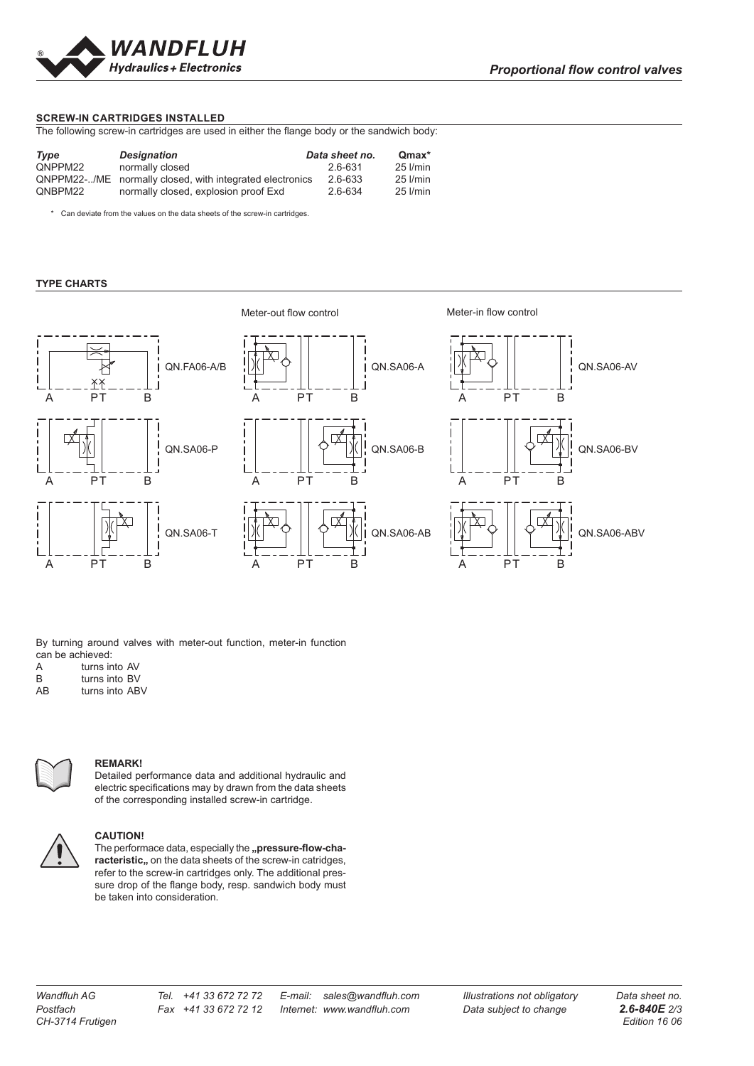

## **SCREW-IN CARTRIDGES INSTALLED**

The following screw-in cartridges are used in either the flange body or the sandwich body:

| Type    | <b>Designation</b>                                       | Data sheet no. | Qmax*    |
|---------|----------------------------------------------------------|----------------|----------|
| QNPPM22 | normally closed                                          | 2.6-631        | 25 l/min |
|         | QNPPM22-/ME normally closed, with integrated electronics | 2.6-633        | 25 I/min |
| QNBPM22 | normally closed, explosion proof Exd                     | 2.6-634        | 25 l/min |

\* Can deviate from the values on the data sheets of the screw-in cartridges.

### **TYPE CHARTS**





A PT B



By turning around valves with meter-out function, meter-in function can be achieved:

| A |  |  |  | turns into AV |  |
|---|--|--|--|---------------|--|

- B turns into BV<br>AB turns into AB
- turns into ABV



#### **REMARK!**

Detailed performance data and additional hydraulic and electric specifications may by drawn from the data sheets of the corresponding installed screw-in cartridge.



# **CAUTION!**

**The performace data, especially the "pressure-flow-characteristic, on the data sheets of the screw-in catridges,** refer to the screw-in cartridges only. The additional pressure drop of the flange body, resp. sandwich body must be taken into consideration.